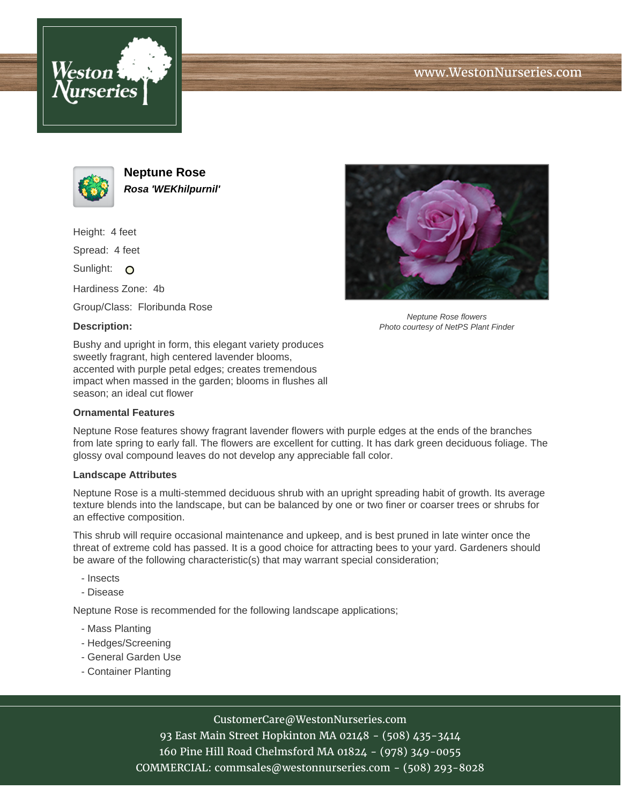





**Neptune Rose Rosa 'WEKhilpurnil'**

Height: 4 feet

Spread: 4 feet

Sunlight: O

Hardiness Zone: 4b

Group/Class: Floribunda Rose

### **Description:**



Neptune Rose flowers Photo courtesy of NetPS Plant Finder

Bushy and upright in form, this elegant variety produces sweetly fragrant, high centered lavender blooms, accented with purple petal edges; creates tremendous impact when massed in the garden; blooms in flushes all season; an ideal cut flower

#### **Ornamental Features**

Neptune Rose features showy fragrant lavender flowers with purple edges at the ends of the branches from late spring to early fall. The flowers are excellent for cutting. It has dark green deciduous foliage. The glossy oval compound leaves do not develop any appreciable fall color.

#### **Landscape Attributes**

Neptune Rose is a multi-stemmed deciduous shrub with an upright spreading habit of growth. Its average texture blends into the landscape, but can be balanced by one or two finer or coarser trees or shrubs for an effective composition.

This shrub will require occasional maintenance and upkeep, and is best pruned in late winter once the threat of extreme cold has passed. It is a good choice for attracting bees to your yard. Gardeners should be aware of the following characteristic(s) that may warrant special consideration;

- Insects
- Disease

Neptune Rose is recommended for the following landscape applications;

- Mass Planting
- Hedges/Screening
- General Garden Use
- Container Planting

# CustomerCare@WestonNurseries.com

93 East Main Street Hopkinton MA 02148 - (508) 435-3414 160 Pine Hill Road Chelmsford MA 01824 - (978) 349-0055 COMMERCIAL: commsales@westonnurseries.com - (508) 293-8028